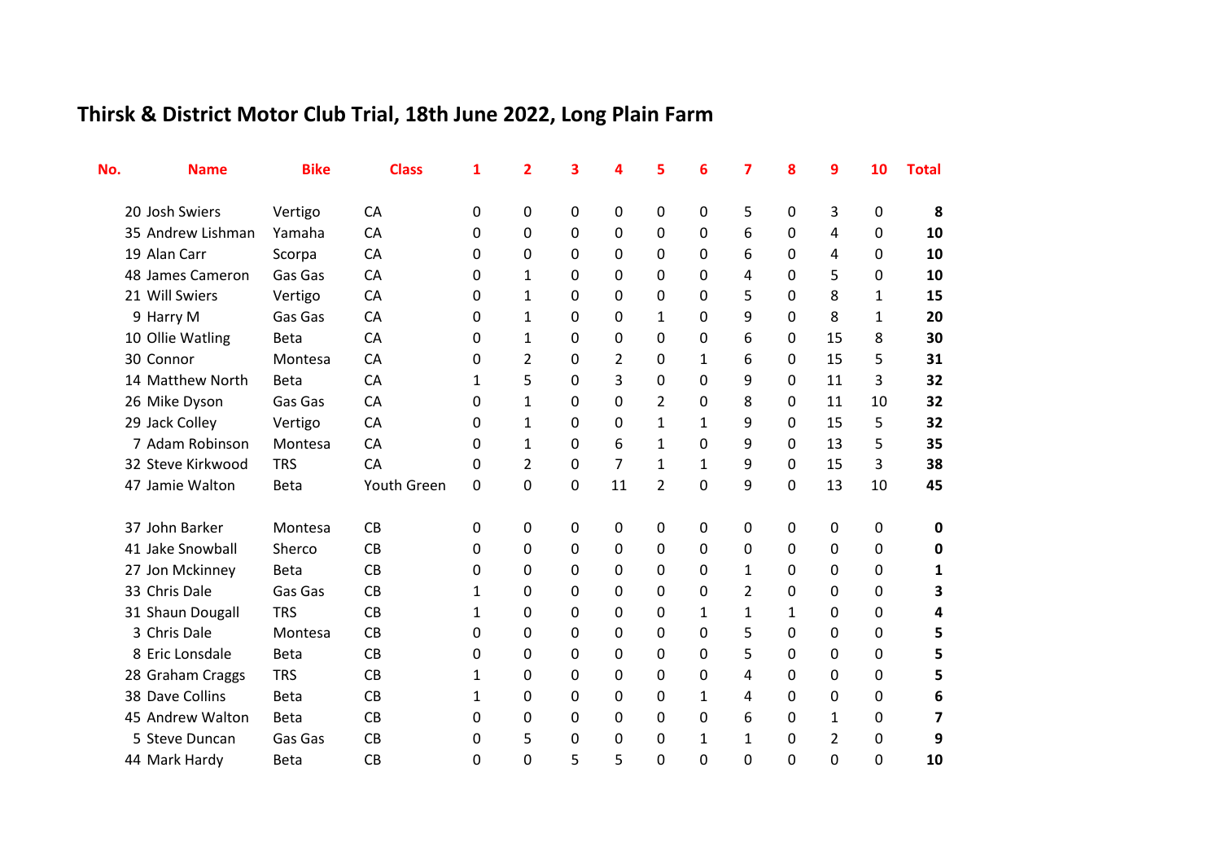## **Thirsk & District Motor Club Trial, 18th June 2022, Long Plain Farm**

| No. | <b>Name</b>       | <b>Bike</b> | <b>Class</b> | 1            | 2            | 3 | 4            | 5              | 6 | 7             | 8 | 9              | 10 | <b>Total</b> |
|-----|-------------------|-------------|--------------|--------------|--------------|---|--------------|----------------|---|---------------|---|----------------|----|--------------|
|     | 20 Josh Swiers    | Vertigo     | <b>CA</b>    | 0            | 0            | 0 | $\mathbf{0}$ | 0              | 0 | 5             | 0 | 3              | 0  | 8            |
|     | 35 Andrew Lishman | Yamaha      | CA           | 0            | 0            | 0 | 0            | 0              | 0 | 6             | 0 | 4              | 0  | 10           |
|     | 19 Alan Carr      | Scorpa      | CA           | 0            | 0            | 0 | 0            | 0              | 0 | 6             | 0 | 4              | 0  | 10           |
|     | 48 James Cameron  | Gas Gas     | CA           | 0            | 1            | 0 | 0            | 0              | 0 | 4             | 0 | 5              | 0  | 10           |
|     | 21 Will Swiers    | Vertigo     | CA           | 0            | 1            | 0 | 0            | 0              | 0 | 5             | 0 | 8              | 1  | 15           |
|     | 9 Harry M         | Gas Gas     | <b>CA</b>    | 0            | 1            | 0 | 0            | 1              | 0 | 9             | 0 | 8              | 1  | 20           |
|     | 10 Ollie Watling  | <b>Beta</b> | CA           | 0            | $\mathbf{1}$ | 0 | 0            | 0              | 0 | 6             | 0 | 15             | 8  | 30           |
|     | 30 Connor         | Montesa     | CA           | 0            | 2            | 0 | 2            | 0              | 1 | 6             | 0 | 15             | 5  | 31           |
|     | 14 Matthew North  | <b>Beta</b> | CA           | 1            | 5            | 0 | 3            | 0              | 0 | 9             | 0 | 11             | 3  | 32           |
|     | 26 Mike Dyson     | Gas Gas     | CA           | 0            | 1            | 0 | 0            | 2              | 0 | 8             | 0 | 11             | 10 | 32           |
|     | 29 Jack Colley    | Vertigo     | CA           | 0            | $\mathbf{1}$ | 0 | 0            | 1              | 1 | 9             | 0 | 15             | 5  | 32           |
|     | 7 Adam Robinson   | Montesa     | <b>CA</b>    | 0            | $\mathbf{1}$ | 0 | 6            | 1              | 0 | 9             | 0 | 13             | 5  | 35           |
|     | 32 Steve Kirkwood | <b>TRS</b>  | CA           | 0            | 2            | 0 | 7            | $\mathbf{1}$   | 1 | 9             | 0 | 15             | 3  | 38           |
|     | 47 Jamie Walton   | <b>Beta</b> | Youth Green  | 0            | 0            | 0 | 11           | $\overline{2}$ | 0 | 9             | 0 | 13             | 10 | 45           |
|     | 37 John Barker    | Montesa     | CB           | 0            | 0            | 0 | 0            | 0              | 0 | 0             | 0 | 0              | 0  | 0            |
|     | 41 Jake Snowball  | Sherco      | <b>CB</b>    | 0            | 0            | 0 | 0            | 0              | 0 | 0             | 0 | 0              | 0  | 0            |
|     | 27 Jon Mckinney   | <b>Beta</b> | CB           | 0            | 0            | 0 | 0            | 0              | 0 | 1             | 0 | 0              | 0  | 1            |
|     | 33 Chris Dale     | Gas Gas     | CB           | $\mathbf{1}$ | 0            | 0 | 0            | 0              | 0 | $\mathcal{P}$ | 0 | 0              | 0  | 3            |
|     | 31 Shaun Dougall  | <b>TRS</b>  | CB           | 1            | 0            | 0 | 0            | 0              | 1 | 1             | 1 | 0              | 0  | 4            |
|     | 3 Chris Dale      | Montesa     | CB           | 0            | 0            | 0 | 0            | 0              | 0 | 5             | 0 | 0              | 0  | 5            |
|     | 8 Eric Lonsdale   | <b>Beta</b> | CB           | 0            | 0            | 0 | 0            | 0              | 0 | 5             | 0 | 0              | 0  | 5            |
|     | 28 Graham Craggs  | <b>TRS</b>  | CB           | 1            | 0            | 0 | 0            | 0              | 0 | 4             | 0 | 0              | 0  | 5            |
|     | 38 Dave Collins   | <b>Beta</b> | CB           | $\mathbf{1}$ | 0            | 0 | 0            | 0              | 1 | 4             | 0 | 0              | 0  | 6            |
|     | 45 Andrew Walton  | <b>Beta</b> | CB           | 0            | 0            | 0 | 0            | 0              | 0 | 6             | 0 | 1              | 0  | 7            |
|     | 5 Steve Duncan    | Gas Gas     | CB           | 0            | 5            | 0 | 0            | 0              | 1 | 1             | 0 | $\overline{2}$ | 0  | 9            |
|     | 44 Mark Hardy     | Beta        | CB           | 0            | 0            | 5 | 5            | 0              | 0 | 0             | 0 | 0              | 0  | 10           |
|     |                   |             |              |              |              |   |              |                |   |               |   |                |    |              |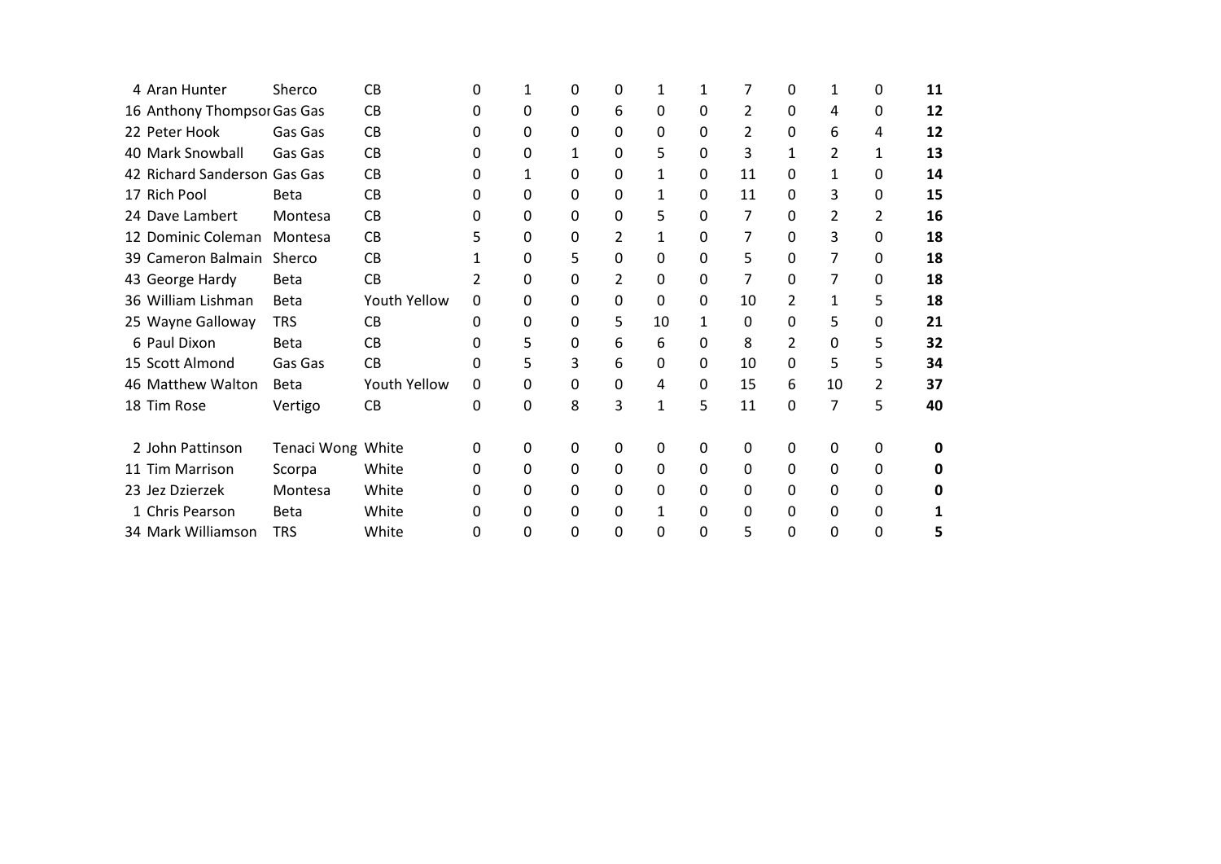| 4 Aran Hunter                | Sherco            | <b>CB</b>    | 0 |          | 0 | 0 |              |   |               | 0 | 1  | 0 | 11 |
|------------------------------|-------------------|--------------|---|----------|---|---|--------------|---|---------------|---|----|---|----|
| 16 Anthony Thompsor Gas Gas  |                   | <b>CB</b>    | 0 | 0        | 0 | 6 | 0            | 0 | $\mathcal{P}$ | 0 | 4  | 0 | 12 |
| 22 Peter Hook                | Gas Gas           | CB           | 0 | 0        | 0 | 0 | 0            | 0 | 2             | 0 | 6  | 4 | 12 |
| 40 Mark Snowball             | Gas Gas           | <b>CB</b>    | 0 | 0        | 1 | 0 | 5            | 0 | 3             | 1 | 2  | 1 | 13 |
| 42 Richard Sanderson Gas Gas |                   | <b>CB</b>    | 0 | 1        | 0 | 0 | 1            | 0 | 11            | 0 | 1  | 0 | 14 |
| 17 Rich Pool                 | <b>Beta</b>       | <b>CB</b>    | 0 | 0        | 0 | 0 | 1            | 0 | 11            | 0 | 3  | 0 | 15 |
| 24 Dave Lambert              | Montesa           | <b>CB</b>    | 0 | 0        | 0 | 0 | 5            | 0 | 7             | 0 | 2  | 2 | 16 |
| 12 Dominic Coleman           | Montesa           | CB           |   | 0        | 0 | 2 | 1            | 0 | 7             | 0 | 3  | 0 | 18 |
| 39 Cameron Balmain           | Sherco            | <b>CB</b>    |   | 0        | 5 | 0 | 0            | 0 | 5             | 0 | 7  | 0 | 18 |
| 43 George Hardy              | <b>Beta</b>       | CB           | 2 | 0        | 0 | 2 | 0            | 0 | 7             | 0 | 7  | 0 | 18 |
| 36 William Lishman           | <b>Beta</b>       | Youth Yellow | 0 | 0        | 0 | 0 | 0            | 0 | 10            | 2 | 1  | 5 | 18 |
| 25 Wayne Galloway            | <b>TRS</b>        | <b>CB</b>    | 0 | 0        | 0 | 5 | 10           | 1 | 0             | 0 | 5  | 0 | 21 |
| 6 Paul Dixon                 | <b>Beta</b>       | <b>CB</b>    | 0 | 5        | 0 | 6 | 6            | 0 | 8             | 2 | 0  | 5 | 32 |
| 15 Scott Almond              | Gas Gas           | CB           | 0 | 5        | 3 | 6 | 0            | 0 | 10            | 0 | 5  | 5 | 34 |
| 46 Matthew Walton            | <b>Beta</b>       | Youth Yellow | 0 | 0        | 0 | 0 | 4            | 0 | 15            | 6 | 10 | 2 | 37 |
| 18 Tim Rose                  | Vertigo           | CB           | 0 | 0        | 8 | 3 | $\mathbf{1}$ | 5 | 11            | 0 | 7  | 5 | 40 |
| 2 John Pattinson             | Tenaci Wong White |              | 0 | 0        | 0 | 0 | 0            | 0 | 0             | 0 | 0  | 0 | o  |
|                              |                   |              |   |          | 0 |   | $\mathbf{0}$ | 0 | 0             |   | 0  |   |    |
| 11 Tim Marrison              | Scorpa            | White        | 0 | 0        |   | 0 |              |   |               | 0 |    | 0 | n  |
| 23 Jez Dzierzek              | Montesa           | White        | O | 0        | 0 | 0 | 0            | 0 | 0             | 0 | 0  | 0 |    |
| 1 Chris Pearson              | <b>Beta</b>       | White        | 0 | 0        | 0 | 0 | 1            | 0 | 0             | 0 | 0  | 0 |    |
| 34 Mark Williamson           | <b>TRS</b>        | White        | 0 | $\Omega$ | 0 | 0 | 0            | 0 | 5             | 0 | 0  | 0 |    |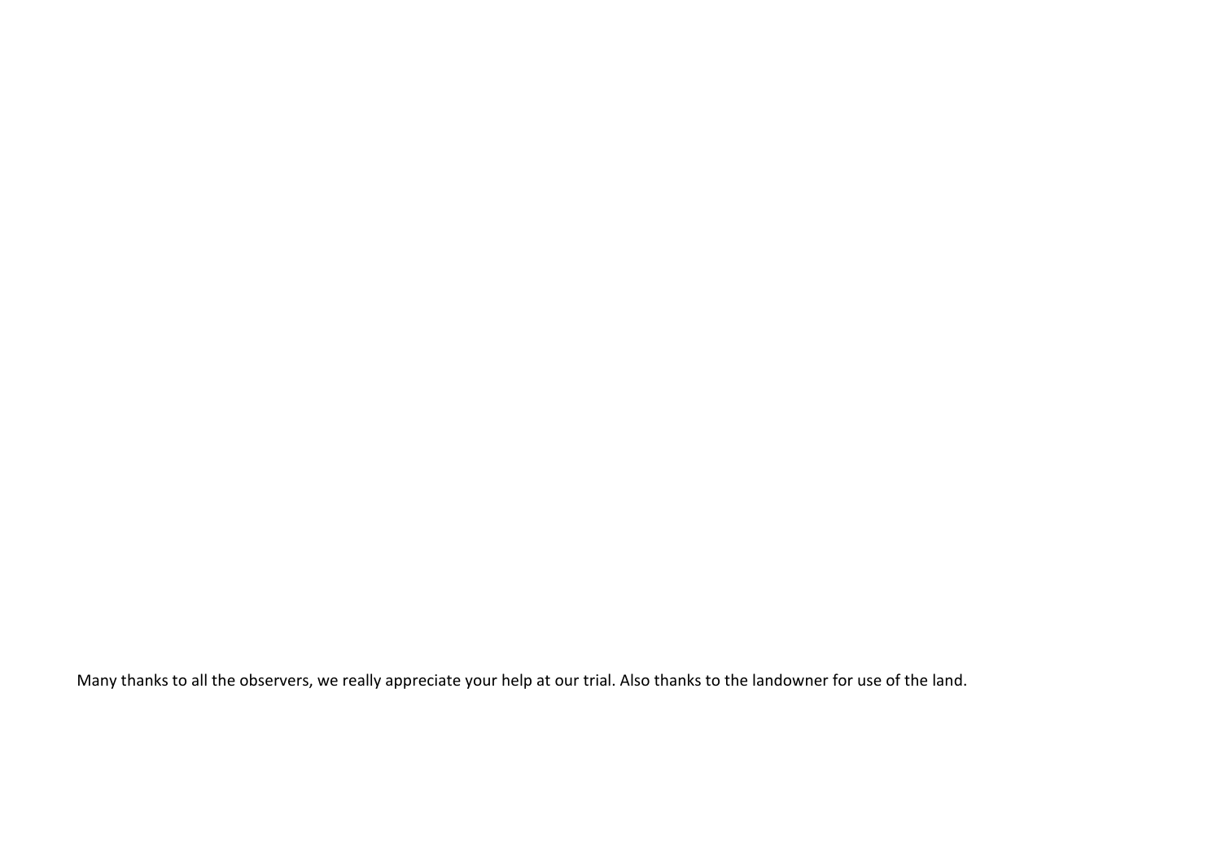Many thanks to all the observers, we really appreciate your help at our trial. Also thanks to the landowner for use of the land.